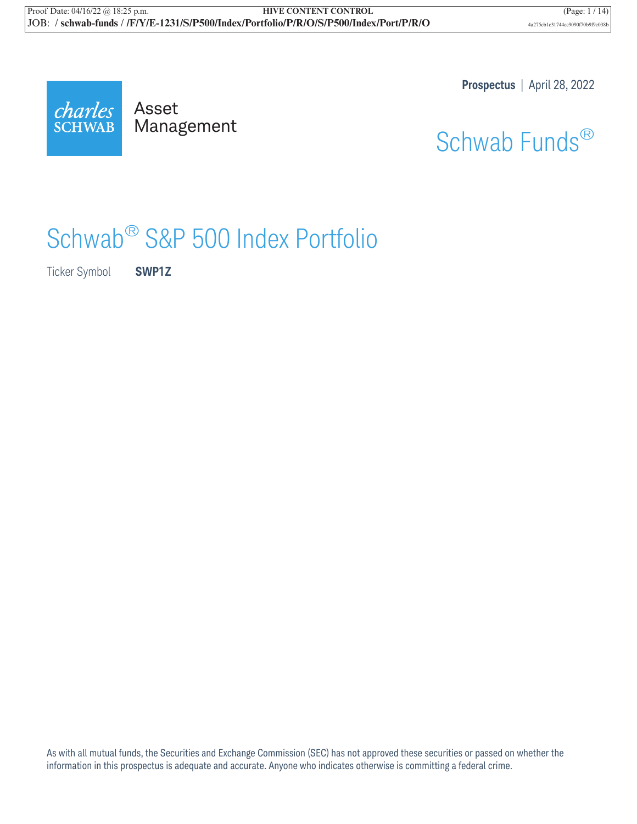

Mana Management **Prospectus** | April 28, 2022



# Schwab® S&P 500 Index Portfolio

Ticker Symbol **SWP1Z**

As with all mutual funds, the Securities and Exchange Commission (SEC) has not approved these securities or passed on whether the information in this prospectus is adequate and accurate. Anyone who indicates otherwise is committing a federal crime.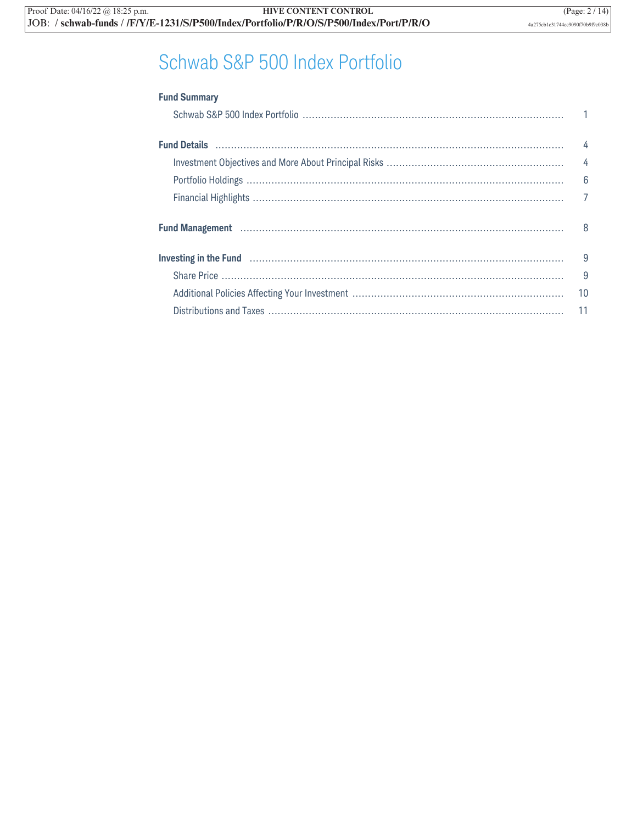## Schwab S&P 500 Index Portfolio

| <b>Fund Summary</b>                                                                                                    |                |
|------------------------------------------------------------------------------------------------------------------------|----------------|
|                                                                                                                        |                |
|                                                                                                                        |                |
|                                                                                                                        |                |
|                                                                                                                        |                |
|                                                                                                                        |                |
|                                                                                                                        | $\overline{7}$ |
|                                                                                                                        |                |
| Investing in the Fund <b>construction continuum control</b> and a function of the fund construction of the fund of the | - 9            |
|                                                                                                                        | 9              |
|                                                                                                                        | 10             |
|                                                                                                                        | 11             |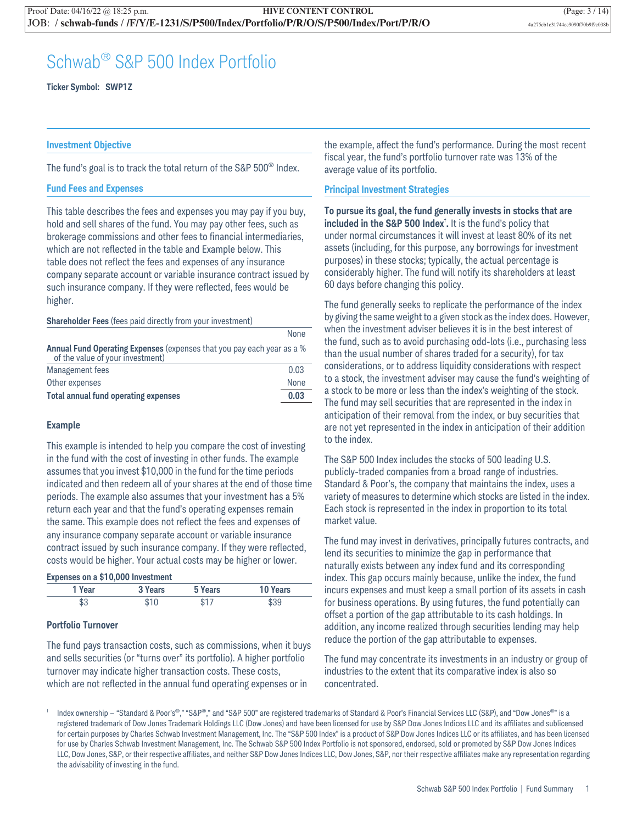### Schwab® S&P 500 Index Portfolio

**Ticker Symbol: SWP1Z**

#### **Investment Objective**

The fund's goal is to track the total return of the S&P  $500^{\circ}$  Index.

#### **Fund Fees and Expenses**

This table describes the fees and expenses you may pay if you buy, hold and sell shares of the fund. You may pay other fees, such as brokerage commissions and other fees to financial intermediaries, which are not reflected in the table and Example below. This table does not reflect the fees and expenses of any insurance company separate account or variable insurance contract issued by such insurance company. If they were reflected, fees would be higher.

#### **Shareholder Fees** (fees paid directly from your investment)

|                                                                                                            | ,,,,,,,,, |
|------------------------------------------------------------------------------------------------------------|-----------|
| Annual Fund Operating Expenses (expenses that you pay each year as a %<br>of the value of your investment) |           |
| Management fees                                                                                            | 0.03      |
| Other expenses                                                                                             | None      |
| Total annual fund operating expenses                                                                       | 0.03      |

#### **Example**

This example is intended to help you compare the cost of investing in the fund with the cost of investing in other funds. The example assumes that you invest \$10,000 in the fund for the time periods indicated and then redeem all of your shares at the end of those time periods. The example also assumes that your investment has a 5% return each year and that the fund's operating expenses remain the same. This example does not reflect the fees and expenses of any insurance company separate account or variable insurance contract issued by such insurance company. If they were reflected, costs would be higher. Your actual costs may be higher or lower.

|  |  |  |  | Expenses on a \$10,000 Investment |
|--|--|--|--|-----------------------------------|
|--|--|--|--|-----------------------------------|

| 1 Year | 3 Years | 5 Years | <b>10 Years</b> |
|--------|---------|---------|-----------------|
| \$3    | ¢1በ     | \$17    | \$39            |

#### **Portfolio Turnover**

The fund pays transaction costs, such as commissions, when it buys and sells securities (or "turns over" its portfolio). A higher portfolio turnover may indicate higher transaction costs. These costs, which are not reflected in the annual fund operating expenses or in

the example, affect the fund's performance. During the most recent fiscal year, the fund's portfolio turnover rate was 13% of the average value of its portfolio.

#### **Principal Investment Strategies**

**To pursue its goal, the fund generally invests in stocks that are included in the S&P 500 Index**† **.** It is the fund's policy that under normal circumstances it will invest at least 80% of its net assets (including, for this purpose, any borrowings for investment purposes) in these stocks; typically, the actual percentage is considerably higher. The fund will notify its shareholders at least 60 days before changing this policy.

The fund generally seeks to replicate the performance of the index by giving the same weight to a given stock as the index does. However, when the investment adviser believes it is in the best interest of the fund, such as to avoid purchasing odd-lots (i.e., purchasing less than the usual number of shares traded for a security), for tax considerations, or to address liquidity considerations with respect to a stock, the investment adviser may cause the fund's weighting of a stock to be more or less than the index's weighting of the stock. The fund may sell securities that are represented in the index in anticipation of their removal from the index, or buy securities that are not yet represented in the index in anticipation of their addition to the index.

The S&P 500 Index includes the stocks of 500 leading U.S. publicly-traded companies from a broad range of industries. Standard & Poor's, the company that maintains the index, uses a variety of measures to determine which stocks are listed in the index. Each stock is represented in the index in proportion to its total market value.

The fund may invest in derivatives, principally futures contracts, and lend its securities to minimize the gap in performance that naturally exists between any index fund and its corresponding index. This gap occurs mainly because, unlike the index, the fund incurs expenses and must keep a small portion of its assets in cash for business operations. By using futures, the fund potentially can offset a portion of the gap attributable to its cash holdings. In addition, any income realized through securities lending may help reduce the portion of the gap attributable to expenses.

The fund may concentrate its investments in an industry or group of industries to the extent that its comparative index is also so concentrated.

Index ownership - "Standard & Poor's®," "S&P®," and "S&P 500" are registered trademarks of Standard & Poor's Financial Services LLC (S&P), and "Dow Jones®" is a registered trademark of Dow Jones Trademark Holdings LLC (Dow Jones) and have been licensed for use by S&P Dow Jones Indices LLC and its affiliates and sublicensed for certain purposes by Charles Schwab Investment Management, Inc. The "S&P 500 Index" is a product of S&P Dow Jones Indices LLC or its affiliates, and has been licensed for use by Charles Schwab Investment Management, Inc. The Schwab S&P 500 Index Portfolio is not sponsored, endorsed, sold or promoted by S&P Dow Jones Indices LLC, Dow Jones, S&P, or their respective affiliates, and neither S&P Dow Jones Indices LLC, Dow Jones, S&P, nor their respective affiliates make any representation regarding the advisability of investing in the fund.

**None**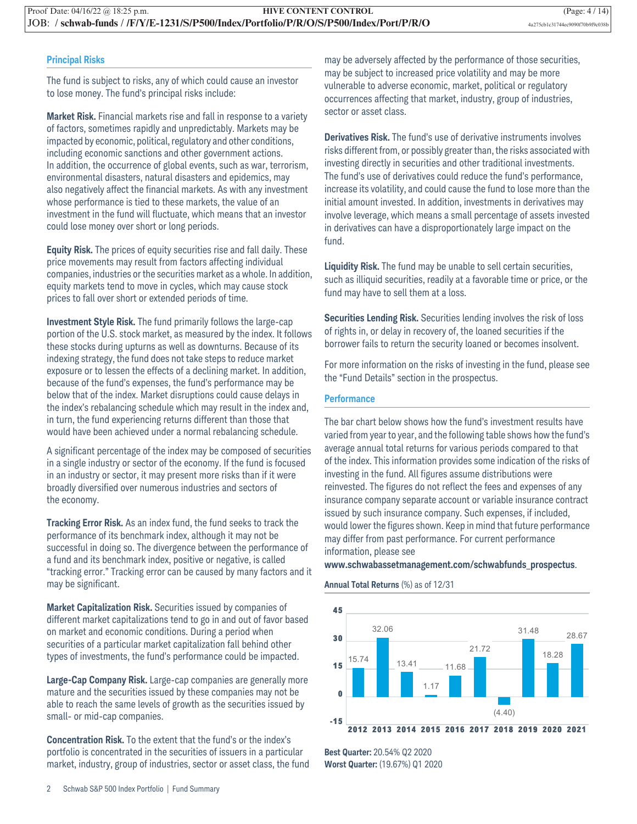#### **Principal Risks**

The fund is subject to risks, any of which could cause an investor to lose money. The fund's principal risks include:

**Market Risk.** Financial markets rise and fall in response to a variety of factors, sometimes rapidly and unpredictably. Markets may be impacted by economic, political, regulatory and other conditions, including economic sanctions and other government actions. In addition, the occurrence of global events, such as war, terrorism, environmental disasters, natural disasters and epidemics, may also negatively affect the financial markets. As with any investment whose performance is tied to these markets, the value of an investment in the fund will fluctuate, which means that an investor could lose money over short or long periods.

**Equity Risk.** The prices of equity securities rise and fall daily. These price movements may result from factors affecting individual companies, industries or the securities market as a whole. In addition, equity markets tend to move in cycles, which may cause stock prices to fall over short or extended periods of time.

**Investment Style Risk.** The fund primarily follows the large-cap portion of the U.S. stock market, as measured by the index. It follows these stocks during upturns as well as downturns. Because of its indexing strategy, the fund does not take steps to reduce market exposure or to lessen the effects of a declining market. In addition, because of the fund's expenses, the fund's performance may be below that of the index. Market disruptions could cause delays in the index's rebalancing schedule which may result in the index and, in turn, the fund experiencing returns different than those that would have been achieved under a normal rebalancing schedule.

A significant percentage of the index may be composed of securities in a single industry or sector of the economy. If the fund is focused in an industry or sector, it may present more risks than if it were broadly diversified over numerous industries and sectors of the economy.

**Tracking Error Risk.** As an index fund, the fund seeks to track the performance of its benchmark index, although it may not be successful in doing so. The divergence between the performance of a fund and its benchmark index, positive or negative, is called "tracking error." Tracking error can be caused by many factors and it may be significant.

**Market Capitalization Risk.** Securities issued by companies of different market capitalizations tend to go in and out of favor based on market and economic conditions. During a period when securities of a particular market capitalization fall behind other types of investments, the fund's performance could be impacted.

**Large-Cap Company Risk.** Large-cap companies are generally more mature and the securities issued by these companies may not be able to reach the same levels of growth as the securities issued by small- or mid-cap companies.

**Concentration Risk.** To the extent that the fund's or the index's portfolio is concentrated in the securities of issuers in a particular market, industry, group of industries, sector or asset class, the fund

may be adversely affected by the performance of those securities, may be subject to increased price volatility and may be more vulnerable to adverse economic, market, political or regulatory occurrences affecting that market, industry, group of industries, sector or asset class.

**Derivatives Risk.** The fund's use of derivative instruments involves risks different from, or possibly greater than, the risks associated with investing directly in securities and other traditional investments. The fund's use of derivatives could reduce the fund's performance, increase its volatility, and could cause the fund to lose more than the initial amount invested. In addition, investments in derivatives may involve leverage, which means a small percentage of assets invested in derivatives can have a disproportionately large impact on the fund.

**Liquidity Risk.** The fund may be unable to sell certain securities, such as illiquid securities, readily at a favorable time or price, or the fund may have to sell them at a loss.

**Securities Lending Risk.** Securities lending involves the risk of loss of rights in, or delay in recovery of, the loaned securities if the borrower fails to return the security loaned or becomes insolvent.

For more information on the risks of investing in the fund, please see the "Fund Details" section in the prospectus.

#### **Performance**

The bar chart below shows how the fund's investment results have varied from year to year, and the following table shows how the fund's average annual total returns for various periods compared to that of the index. This information provides some indication of the risks of investing in the fund. All figures assume distributions were reinvested. The figures do not reflect the fees and expenses of any insurance company separate account or variable insurance contract issued by such insurance company. Such expenses, if included, would lower the figures shown. Keep in mind that future performance may differ from past performance. For current performance information, please see

#### **www.schwabassetmanagement.com/schwabfunds\_prospectus**.

#### **Annual Total Returns** (%) as of 12/31



**2012 2013 2012 2013 2014 2015 2016 2017 2018 2019 2020 2021**

**Best Quarter:** 20.54% Q2 2020 **Worst Quarter:** (19.67%) Q1 2020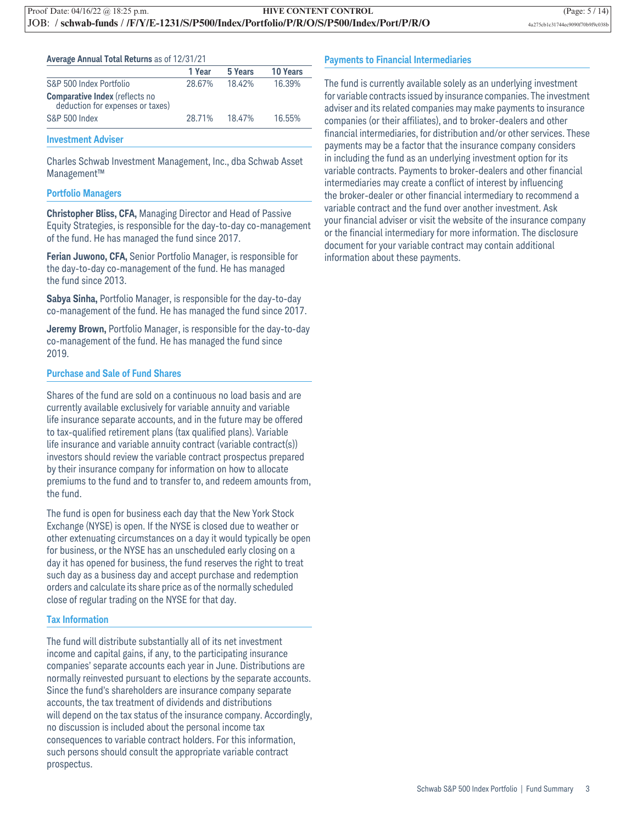|  |  |  |  |  |  | <b>Average Annual Total Returns as of 12/31/21</b> |
|--|--|--|--|--|--|----------------------------------------------------|
|--|--|--|--|--|--|----------------------------------------------------|

|                                                                           | 1 Year | 5 Years | <b>10 Years</b> |
|---------------------------------------------------------------------------|--------|---------|-----------------|
| S&P 500 Index Portfolio                                                   | 28.67% | 18.42%  | 16.39%          |
| <b>Comparative Index</b> (reflects no<br>deduction for expenses or taxes) |        |         |                 |
| S&P 500 Index                                                             | 28.71% | 18.47%  | 16.55%          |

#### **Investment Adviser**

Charles Schwab Investment Management, Inc., dba Schwab Asset Management™

#### **Portfolio Managers**

**Christopher Bliss, CFA,** Managing Director and Head of Passive Equity Strategies, is responsible for the day-to-day co-management of the fund. He has managed the fund since 2017.

**Ferian Juwono, CFA,** Senior Portfolio Manager, is responsible for the day-to-day co-management of the fund. He has managed the fund since 2013.

**Sabya Sinha,** Portfolio Manager, is responsible for the day-to-day co-management of the fund. He has managed the fund since 2017.

**Jeremy Brown,** Portfolio Manager, is responsible for the day-to-day co-management of the fund. He has managed the fund since 2019.

#### **Purchase and Sale of Fund Shares**

Shares of the fund are sold on a continuous no load basis and are currently available exclusively for variable annuity and variable life insurance separate accounts, and in the future may be offered to tax-qualified retirement plans (tax qualified plans). Variable life insurance and variable annuity contract (variable contract(s)) investors should review the variable contract prospectus prepared by their insurance company for information on how to allocate premiums to the fund and to transfer to, and redeem amounts from, the fund.

The fund is open for business each day that the New York Stock Exchange (NYSE) is open. If the NYSE is closed due to weather or other extenuating circumstances on a day it would typically be open for business, or the NYSE has an unscheduled early closing on a day it has opened for business, the fund reserves the right to treat such day as a business day and accept purchase and redemption orders and calculate its share price as of the normally scheduled close of regular trading on the NYSE for that day.

#### **Tax Information**

The fund will distribute substantially all of its net investment income and capital gains, if any, to the participating insurance companies' separate accounts each year in June. Distributions are normally reinvested pursuant to elections by the separate accounts. Since the fund's shareholders are insurance company separate accounts, the tax treatment of dividends and distributions will depend on the tax status of the insurance company. Accordingly, no discussion is included about the personal income tax consequences to variable contract holders. For this information, such persons should consult the appropriate variable contract prospectus.

#### **Payments to Financial Intermediaries**

The fund is currently available solely as an underlying investment for variable contracts issued by insurance companies. The investment adviser and its related companies may make payments to insurance companies (or their affiliates), and to broker-dealers and other financial intermediaries, for distribution and/or other services. These payments may be a factor that the insurance company considers in including the fund as an underlying investment option for its variable contracts. Payments to broker-dealers and other financial intermediaries may create a conflict of interest by influencing the broker-dealer or other financial intermediary to recommend a variable contract and the fund over another investment. Ask your financial adviser or visit the website of the insurance company or the financial intermediary for more information. The disclosure document for your variable contract may contain additional information about these payments.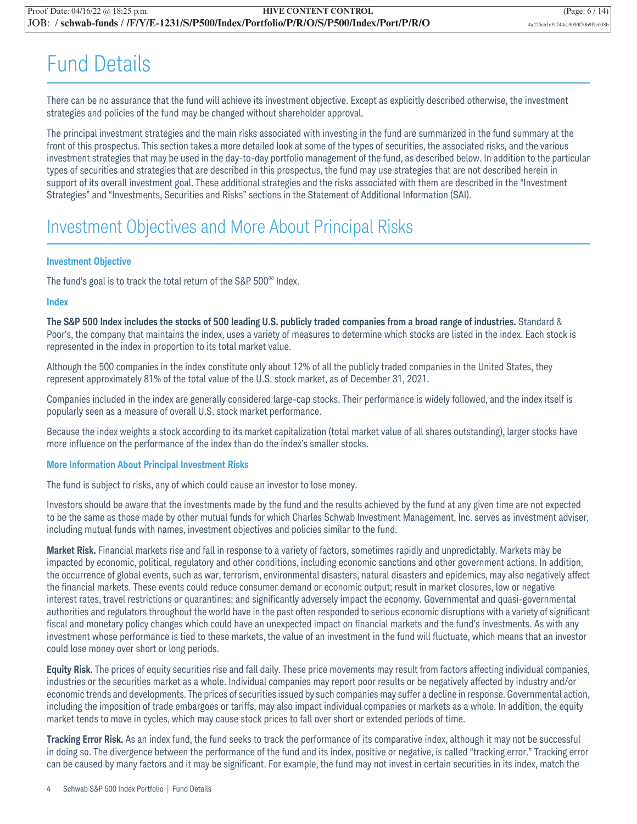## Fund Details

There can be no assurance that the fund will achieve its investment objective. Except as explicitly described otherwise, the investment strategies and policies of the fund may be changed without shareholder approval.

The principal investment strategies and the main risks associated with investing in the fund are summarized in the fund summary at the front of this prospectus. This section takes a more detailed look at some of the types of securities, the associated risks, and the various investment strategies that may be used in the day-to-day portfolio management of the fund, as described below. In addition to the particular types of securities and strategies that are described in this prospectus, the fund may use strategies that are not described herein in support of its overall investment goal. These additional strategies and the risks associated with them are described in the "Investment Strategies" and "Investments, Securities and Risks" sections in the Statement of Additional Information (SAI).

### Investment Objectives and More About Principal Risks

#### **Investment Objective**

The fund's goal is to track the total return of the S&P  $500^{\circ}$  Index.

#### **Index**

**The S&P 500 Index includes the stocks of 500 leading U.S. publicly traded companies from a broad range of industries.** Standard & Poor's, the company that maintains the index, uses a variety of measures to determine which stocks are listed in the index. Each stock is represented in the index in proportion to its total market value.

Although the 500 companies in the index constitute only about 12% of all the publicly traded companies in the United States, they represent approximately 81% of the total value of the U.S. stock market, as of December 31, 2021.

Companies included in the index are generally considered large-cap stocks. Their performance is widely followed, and the index itself is popularly seen as a measure of overall U.S. stock market performance.

Because the index weights a stock according to its market capitalization (total market value of all shares outstanding), larger stocks have more influence on the performance of the index than do the index's smaller stocks.

#### **More Information About Principal Investment Risks**

The fund is subject to risks, any of which could cause an investor to lose money.

Investors should be aware that the investments made by the fund and the results achieved by the fund at any given time are not expected to be the same as those made by other mutual funds for which Charles Schwab Investment Management, Inc. serves as investment adviser, including mutual funds with names, investment objectives and policies similar to the fund.

**Market Risk.** Financial markets rise and fall in response to a variety of factors, sometimes rapidly and unpredictably. Markets may be impacted by economic, political, regulatory and other conditions, including economic sanctions and other government actions. In addition, the occurrence of global events, such as war, terrorism, environmental disasters, natural disasters and epidemics, may also negatively affect the financial markets. These events could reduce consumer demand or economic output; result in market closures, low or negative interest rates, travel restrictions or quarantines; and significantly adversely impact the economy. Governmental and quasi-governmental authorities and regulators throughout the world have in the past often responded to serious economic disruptions with a variety of significant fiscal and monetary policy changes which could have an unexpected impact on financial markets and the fund's investments. As with any investment whose performance is tied to these markets, the value of an investment in the fund will fluctuate, which means that an investor could lose money over short or long periods.

**Equity Risk.** The prices of equity securities rise and fall daily. These price movements may result from factors affecting individual companies, industries or the securities market as a whole. Individual companies may report poor results or be negatively affected by industry and/or economic trends and developments. The prices of securities issued by such companies may suffer a decline in response. Governmental action, including the imposition of trade embargoes or tariffs, may also impact individual companies or markets as a whole. In addition, the equity market tends to move in cycles, which may cause stock prices to fall over short or extended periods of time.

**Tracking Error Risk.** As an index fund, the fund seeks to track the performance of its comparative index, although it may not be successful in doing so. The divergence between the performance of the fund and its index, positive or negative, is called "tracking error." Tracking error can be caused by many factors and it may be significant. For example, the fund may not invest in certain securities in its index, match the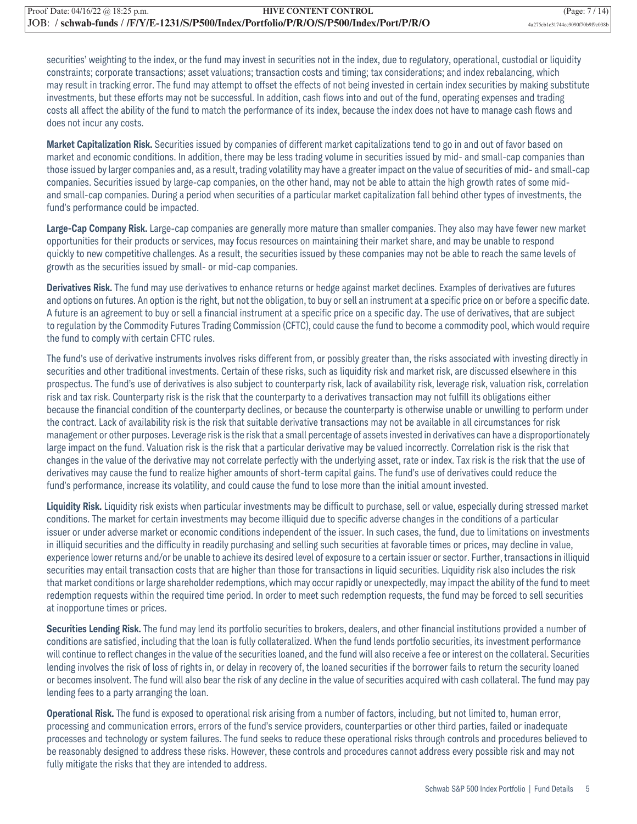securities' weighting to the index, or the fund may invest in securities not in the index, due to regulatory, operational, custodial or liquidity constraints; corporate transactions; asset valuations; transaction costs and timing; tax considerations; and index rebalancing, which may result in tracking error. The fund may attempt to offset the effects of not being invested in certain index securities by making substitute investments, but these efforts may not be successful. In addition, cash flows into and out of the fund, operating expenses and trading costs all affect the ability of the fund to match the performance of its index, because the index does not have to manage cash flows and does not incur any costs.

**Market Capitalization Risk.** Securities issued by companies of different market capitalizations tend to go in and out of favor based on market and economic conditions. In addition, there may be less trading volume in securities issued by mid- and small-cap companies than those issued by larger companies and, as a result, trading volatility may have a greater impact on the value of securities of mid- and small-cap companies. Securities issued by large-cap companies, on the other hand, may not be able to attain the high growth rates of some midand small-cap companies. During a period when securities of a particular market capitalization fall behind other types of investments, the fund's performance could be impacted.

**Large-Cap Company Risk.** Large-cap companies are generally more mature than smaller companies. They also may have fewer new market opportunities for their products or services, may focus resources on maintaining their market share, and may be unable to respond quickly to new competitive challenges. As a result, the securities issued by these companies may not be able to reach the same levels of growth as the securities issued by small- or mid-cap companies.

**Derivatives Risk.** The fund may use derivatives to enhance returns or hedge against market declines. Examples of derivatives are futures and options on futures. An option is the right, but not the obligation, to buy or sell an instrument at a specific price on or before a specific date. A future is an agreement to buy or sell a financial instrument at a specific price on a specific day. The use of derivatives, that are subject to regulation by the Commodity Futures Trading Commission (CFTC), could cause the fund to become a commodity pool, which would require the fund to comply with certain CFTC rules.

The fund's use of derivative instruments involves risks different from, or possibly greater than, the risks associated with investing directly in securities and other traditional investments. Certain of these risks, such as liquidity risk and market risk, are discussed elsewhere in this prospectus. The fund's use of derivatives is also subject to counterparty risk, lack of availability risk, leverage risk, valuation risk, correlation risk and tax risk. Counterparty risk is the risk that the counterparty to a derivatives transaction may not fulfill its obligations either because the financial condition of the counterparty declines, or because the counterparty is otherwise unable or unwilling to perform under the contract. Lack of availability risk is the risk that suitable derivative transactions may not be available in all circumstances for risk management or other purposes. Leverage risk is the risk that a small percentage of assets invested in derivatives can have a disproportionately large impact on the fund. Valuation risk is the risk that a particular derivative may be valued incorrectly. Correlation risk is the risk that changes in the value of the derivative may not correlate perfectly with the underlying asset, rate or index. Tax risk is the risk that the use of derivatives may cause the fund to realize higher amounts of short-term capital gains. The fund's use of derivatives could reduce the fund's performance, increase its volatility, and could cause the fund to lose more than the initial amount invested.

**Liquidity Risk.** Liquidity risk exists when particular investments may be difficult to purchase, sell or value, especially during stressed market conditions. The market for certain investments may become illiquid due to specific adverse changes in the conditions of a particular issuer or under adverse market or economic conditions independent of the issuer. In such cases, the fund, due to limitations on investments in illiquid securities and the difficulty in readily purchasing and selling such securities at favorable times or prices, may decline in value, experience lower returns and/or be unable to achieve its desired level of exposure to a certain issuer or sector. Further, transactions in illiquid securities may entail transaction costs that are higher than those for transactions in liquid securities. Liquidity risk also includes the risk that market conditions or large shareholder redemptions, which may occur rapidly or unexpectedly, may impact the ability of the fund to meet redemption requests within the required time period. In order to meet such redemption requests, the fund may be forced to sell securities at inopportune times or prices.

**Securities Lending Risk.** The fund may lend its portfolio securities to brokers, dealers, and other financial institutions provided a number of conditions are satisfied, including that the loan is fully collateralized. When the fund lends portfolio securities, its investment performance will continue to reflect changes in the value of the securities loaned, and the fund will also receive a fee or interest on the collateral. Securities lending involves the risk of loss of rights in, or delay in recovery of, the loaned securities if the borrower fails to return the security loaned or becomes insolvent. The fund will also bear the risk of any decline in the value of securities acquired with cash collateral. The fund may pay lending fees to a party arranging the loan.

**Operational Risk.** The fund is exposed to operational risk arising from a number of factors, including, but not limited to, human error, processing and communication errors, errors of the fund's service providers, counterparties or other third parties, failed or inadequate processes and technology or system failures. The fund seeks to reduce these operational risks through controls and procedures believed to be reasonably designed to address these risks. However, these controls and procedures cannot address every possible risk and may not fully mitigate the risks that they are intended to address.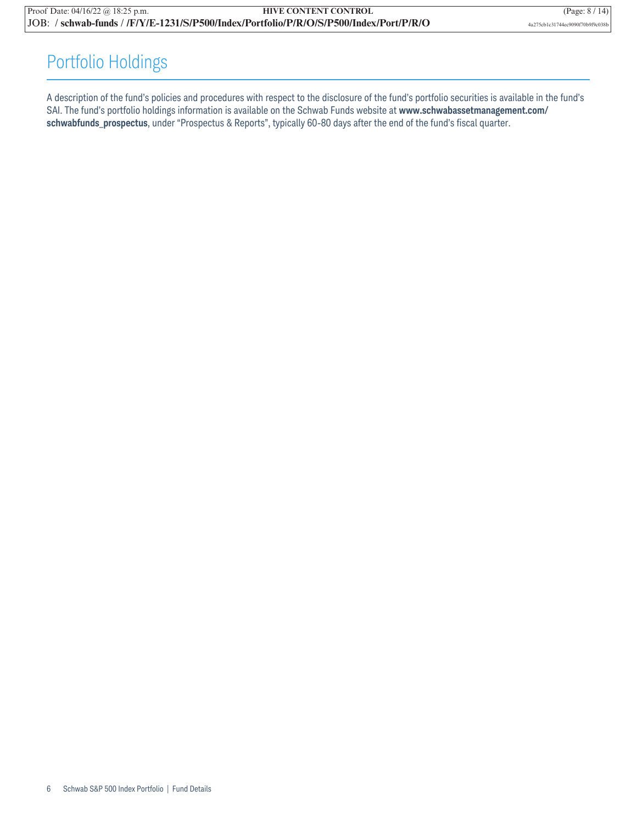### Portfolio Holdings

A description of the fund's policies and procedures with respect to the disclosure of the fund's portfolio securities is available in the fund's SAI. The fund's portfolio holdings information is available on the Schwab Funds website at **www.schwabassetmanagement.com/ schwabfunds\_prospectus**, under "Prospectus & Reports", typically 60-80 days after the end of the fund's fiscal quarter.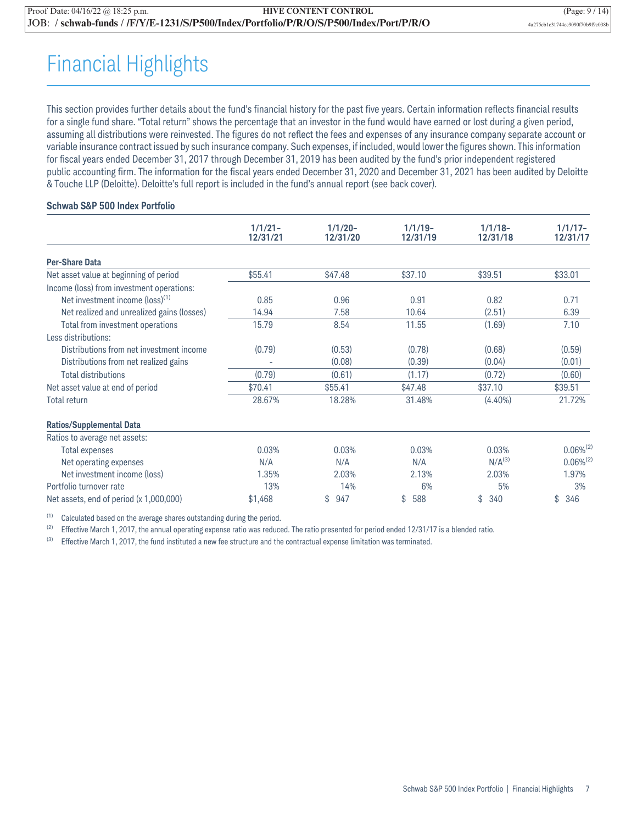## Financial Highlights

This section provides further details about the fund's financial history for the past five years. Certain information reflects financial results for a single fund share. "Total return" shows the percentage that an investor in the fund would have earned or lost during a given period, assuming all distributions were reinvested. The figures do not reflect the fees and expenses of any insurance company separate account or variable insurance contract issued by such insurance company. Such expenses, if included, would lower the figures shown. This information for fiscal years ended December 31, 2017 through December 31, 2019 has been audited by the fund's prior independent registered public accounting firm. The information for the fiscal years ended December 31, 2020 and December 31, 2021 has been audited by Deloitte & Touche LLP (Deloitte). Deloitte's full report is included in the fund's annual report (see back cover).

#### **Schwab S&P 500 Index Portfolio**

|                                             | $1/1/21 -$ | $1/1/20 -$ | $1/1/19-$ | $1/1/18-$          | $1/1/17-$      |
|---------------------------------------------|------------|------------|-----------|--------------------|----------------|
|                                             | 12/31/21   | 12/31/20   | 12/31/19  | 12/31/18           | 12/31/17       |
| <b>Per-Share Data</b>                       |            |            |           |                    |                |
| Net asset value at beginning of period      | \$55.41    | \$47.48    | \$37.10   | \$39.51            | \$33.01        |
| Income (loss) from investment operations:   |            |            |           |                    |                |
| Net investment income (loss) <sup>(1)</sup> | 0.85       | 0.96       | 0.91      | 0.82               | 0.71           |
| Net realized and unrealized gains (losses)  | 14.94      | 7.58       | 10.64     | (2.51)             | 6.39           |
| Total from investment operations            | 15.79      | 8.54       | 11.55     | (1.69)             | 7.10           |
| Less distributions:                         |            |            |           |                    |                |
| Distributions from net investment income    | (0.79)     | (0.53)     | (0.78)    | (0.68)             | (0.59)         |
| Distributions from net realized gains       |            | (0.08)     | (0.39)    | (0.04)             | (0.01)         |
| <b>Total distributions</b>                  | (0.79)     | (0.61)     | (1.17)    | (0.72)             | (0.60)         |
| Net asset value at end of period            | \$70.41    | \$55.41    | \$47.48   | \$37.10            | \$39.51        |
| <b>Total return</b>                         | 28.67%     | 18.28%     | 31.48%    | $(4.40\%)$         | 21.72%         |
| <b>Ratios/Supplemental Data</b>             |            |            |           |                    |                |
| Ratios to average net assets:               |            |            |           |                    |                |
| <b>Total expenses</b>                       | 0.03%      | 0.03%      | 0.03%     | 0.03%              | $0.06\%^{(2)}$ |
| Net operating expenses                      | N/A        | N/A        | N/A       | N/A <sup>(3)</sup> | $0.06\%^{(2)}$ |
| Net investment income (loss)                | 1.35%      | 2.03%      | 2.13%     | 2.03%              | 1.97%          |
| Portfolio turnover rate                     | 13%        | 14%        | 6%        | 5%                 | 3%             |
| Net assets, end of period (x 1,000,000)     | \$1,468    | \$<br>947  | \$<br>588 | \$<br>340          | \$<br>346      |

(1) Calculated based on the average shares outstanding during the period.

(2) Effective March 1, 2017, the annual operating expense ratio was reduced. The ratio presented for period ended 12/31/17 is a blended ratio.

 $(3)$  Effective March 1, 2017, the fund instituted a new fee structure and the contractual expense limitation was terminated.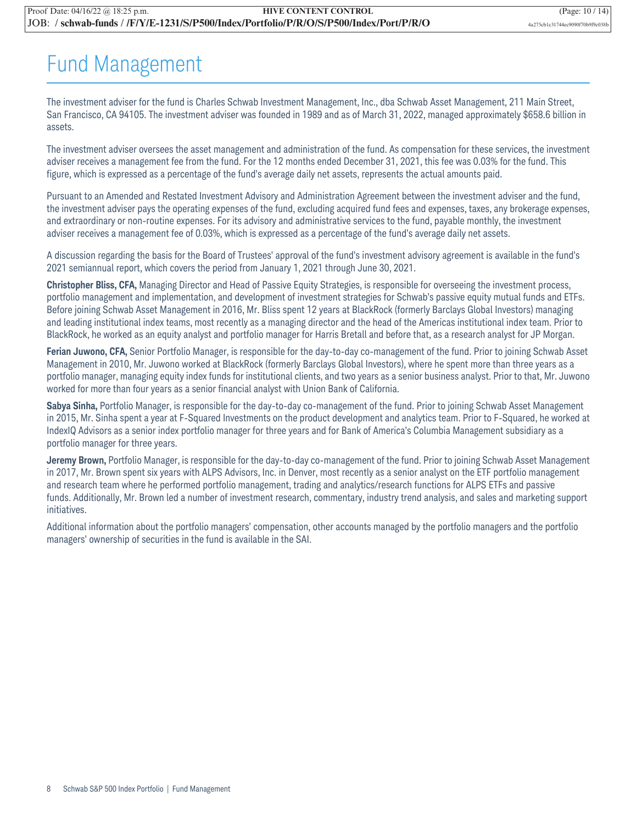## Fund Management

The investment adviser for the fund is Charles Schwab Investment Management, Inc., dba Schwab Asset Management, 211 Main Street, San Francisco, CA 94105. The investment adviser was founded in 1989 and as of March 31, 2022, managed approximately \$658.6 billion in assets.

The investment adviser oversees the asset management and administration of the fund. As compensation for these services, the investment adviser receives a management fee from the fund. For the 12 months ended December 31, 2021, this fee was 0.03% for the fund. This figure, which is expressed as a percentage of the fund's average daily net assets, represents the actual amounts paid.

Pursuant to an Amended and Restated Investment Advisory and Administration Agreement between the investment adviser and the fund, the investment adviser pays the operating expenses of the fund, excluding acquired fund fees and expenses, taxes, any brokerage expenses, and extraordinary or non-routine expenses. For its advisory and administrative services to the fund, payable monthly, the investment adviser receives a management fee of 0.03%, which is expressed as a percentage of the fund's average daily net assets.

A discussion regarding the basis for the Board of Trustees' approval of the fund's investment advisory agreement is available in the fund's 2021 semiannual report, which covers the period from January 1, 2021 through June 30, 2021.

**Christopher Bliss, CFA,** Managing Director and Head of Passive Equity Strategies, is responsible for overseeing the investment process, portfolio management and implementation, and development of investment strategies for Schwab's passive equity mutual funds and ETFs. Before joining Schwab Asset Management in 2016, Mr. Bliss spent 12 years at BlackRock (formerly Barclays Global Investors) managing and leading institutional index teams, most recently as a managing director and the head of the Americas institutional index team. Prior to BlackRock, he worked as an equity analyst and portfolio manager for Harris Bretall and before that, as a research analyst for JP Morgan.

**Ferian Juwono, CFA,** Senior Portfolio Manager, is responsible for the day-to-day co-management of the fund. Prior to joining Schwab Asset Management in 2010, Mr. Juwono worked at BlackRock (formerly Barclays Global Investors), where he spent more than three years as a portfolio manager, managing equity index funds for institutional clients, and two years as a senior business analyst. Prior to that, Mr. Juwono worked for more than four years as a senior financial analyst with Union Bank of California.

**Sabya Sinha,** Portfolio Manager, is responsible for the day-to-day co-management of the fund. Prior to joining Schwab Asset Management in 2015, Mr. Sinha spent a year at F-Squared Investments on the product development and analytics team. Prior to F-Squared, he worked at IndexIQ Advisors as a senior index portfolio manager for three years and for Bank of America's Columbia Management subsidiary as a portfolio manager for three years.

**Jeremy Brown,** Portfolio Manager, is responsible for the day-to-day co-management of the fund. Prior to joining Schwab Asset Management in 2017, Mr. Brown spent six years with ALPS Advisors, Inc. in Denver, most recently as a senior analyst on the ETF portfolio management and research team where he performed portfolio management, trading and analytics/research functions for ALPS ETFs and passive funds. Additionally, Mr. Brown led a number of investment research, commentary, industry trend analysis, and sales and marketing support initiatives.

Additional information about the portfolio managers' compensation, other accounts managed by the portfolio managers and the portfolio managers' ownership of securities in the fund is available in the SAI.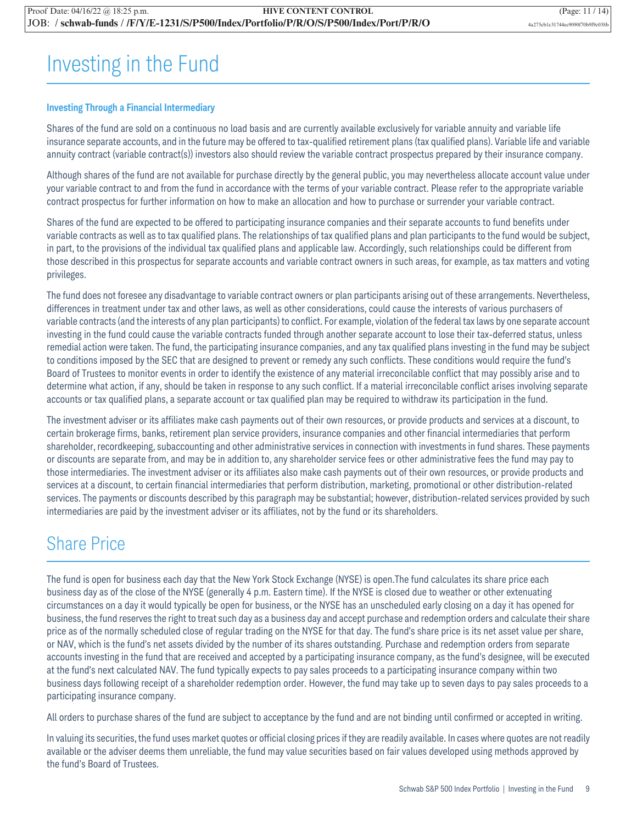## Investing in the Fund

#### **Investing Through a Financial Intermediary**

Shares of the fund are sold on a continuous no load basis and are currently available exclusively for variable annuity and variable life insurance separate accounts, and in the future may be offered to tax-qualified retirement plans (tax qualified plans). Variable life and variable annuity contract (variable contract(s)) investors also should review the variable contract prospectus prepared by their insurance company.

Although shares of the fund are not available for purchase directly by the general public, you may nevertheless allocate account value under your variable contract to and from the fund in accordance with the terms of your variable contract. Please refer to the appropriate variable contract prospectus for further information on how to make an allocation and how to purchase or surrender your variable contract.

Shares of the fund are expected to be offered to participating insurance companies and their separate accounts to fund benefits under variable contracts as well as to tax qualified plans. The relationships of tax qualified plans and plan participants to the fund would be subject, in part, to the provisions of the individual tax qualified plans and applicable law. Accordingly, such relationships could be different from those described in this prospectus for separate accounts and variable contract owners in such areas, for example, as tax matters and voting privileges.

The fund does not foresee any disadvantage to variable contract owners or plan participants arising out of these arrangements. Nevertheless, differences in treatment under tax and other laws, as well as other considerations, could cause the interests of various purchasers of variable contracts (and the interests of any plan participants) to conflict. For example, violation of the federal tax laws by one separate account investing in the fund could cause the variable contracts funded through another separate account to lose their tax-deferred status, unless remedial action were taken. The fund, the participating insurance companies, and any tax qualified plans investing in the fund may be subject to conditions imposed by the SEC that are designed to prevent or remedy any such conflicts. These conditions would require the fund's Board of Trustees to monitor events in order to identify the existence of any material irreconcilable conflict that may possibly arise and to determine what action, if any, should be taken in response to any such conflict. If a material irreconcilable conflict arises involving separate accounts or tax qualified plans, a separate account or tax qualified plan may be required to withdraw its participation in the fund.

The investment adviser or its affiliates make cash payments out of their own resources, or provide products and services at a discount, to certain brokerage firms, banks, retirement plan service providers, insurance companies and other financial intermediaries that perform shareholder, recordkeeping, subaccounting and other administrative services in connection with investments in fund shares. These payments or discounts are separate from, and may be in addition to, any shareholder service fees or other administrative fees the fund may pay to those intermediaries. The investment adviser or its affiliates also make cash payments out of their own resources, or provide products and services at a discount, to certain financial intermediaries that perform distribution, marketing, promotional or other distribution-related services. The payments or discounts described by this paragraph may be substantial; however, distribution-related services provided by such intermediaries are paid by the investment adviser or its affiliates, not by the fund or its shareholders.

### Share Price

The fund is open for business each day that the New York Stock Exchange (NYSE) is open.The fund calculates its share price each business day as of the close of the NYSE (generally 4 p.m. Eastern time). If the NYSE is closed due to weather or other extenuating circumstances on a day it would typically be open for business, or the NYSE has an unscheduled early closing on a day it has opened for business, the fund reserves the right to treat such day as a business day and accept purchase and redemption orders and calculate their share price as of the normally scheduled close of regular trading on the NYSE for that day. The fund's share price is its net asset value per share, or NAV, which is the fund's net assets divided by the number of its shares outstanding. Purchase and redemption orders from separate accounts investing in the fund that are received and accepted by a participating insurance company, as the fund's designee, will be executed at the fund's next calculated NAV. The fund typically expects to pay sales proceeds to a participating insurance company within two business days following receipt of a shareholder redemption order. However, the fund may take up to seven days to pay sales proceeds to a participating insurance company.

All orders to purchase shares of the fund are subject to acceptance by the fund and are not binding until confirmed or accepted in writing.

In valuing its securities, the fund uses market quotes or official closing prices if they are readily available. In cases where quotes are not readily available or the adviser deems them unreliable, the fund may value securities based on fair values developed using methods approved by the fund's Board of Trustees.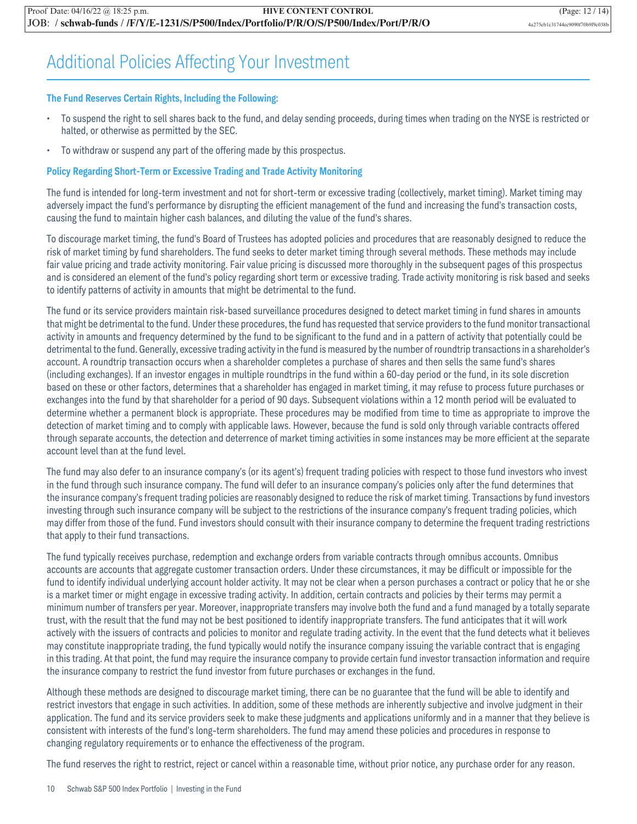### Additional Policies Affecting Your Investment

#### **The Fund Reserves Certain Rights, Including the Following:**

- To suspend the right to sell shares back to the fund, and delay sending proceeds, during times when trading on the NYSE is restricted or halted, or otherwise as permitted by the SEC.
- To withdraw or suspend any part of the offering made by this prospectus.

#### **Policy Regarding Short-Term or Excessive Trading and Trade Activity Monitoring**

The fund is intended for long-term investment and not for short-term or excessive trading (collectively, market timing). Market timing may adversely impact the fund's performance by disrupting the efficient management of the fund and increasing the fund's transaction costs, causing the fund to maintain higher cash balances, and diluting the value of the fund's shares.

To discourage market timing, the fund's Board of Trustees has adopted policies and procedures that are reasonably designed to reduce the risk of market timing by fund shareholders. The fund seeks to deter market timing through several methods. These methods may include fair value pricing and trade activity monitoring. Fair value pricing is discussed more thoroughly in the subsequent pages of this prospectus and is considered an element of the fund's policy regarding short term or excessive trading. Trade activity monitoring is risk based and seeks to identify patterns of activity in amounts that might be detrimental to the fund.

The fund or its service providers maintain risk-based surveillance procedures designed to detect market timing in fund shares in amounts that might be detrimental to the fund. Under these procedures, the fund has requested that service providers to the fund monitor transactional activity in amounts and frequency determined by the fund to be significant to the fund and in a pattern of activity that potentially could be detrimental to the fund. Generally, excessive trading activity in the fund is measured by the number of roundtrip transactions in a shareholder's account. A roundtrip transaction occurs when a shareholder completes a purchase of shares and then sells the same fund's shares (including exchanges). If an investor engages in multiple roundtrips in the fund within a 60-day period or the fund, in its sole discretion based on these or other factors, determines that a shareholder has engaged in market timing, it may refuse to process future purchases or exchanges into the fund by that shareholder for a period of 90 days. Subsequent violations within a 12 month period will be evaluated to determine whether a permanent block is appropriate. These procedures may be modified from time to time as appropriate to improve the detection of market timing and to comply with applicable laws. However, because the fund is sold only through variable contracts offered through separate accounts, the detection and deterrence of market timing activities in some instances may be more efficient at the separate account level than at the fund level.

The fund may also defer to an insurance company's (or its agent's) frequent trading policies with respect to those fund investors who invest in the fund through such insurance company. The fund will defer to an insurance company's policies only after the fund determines that the insurance company's frequent trading policies are reasonably designed to reduce the risk of market timing. Transactions by fund investors investing through such insurance company will be subject to the restrictions of the insurance company's frequent trading policies, which may differ from those of the fund. Fund investors should consult with their insurance company to determine the frequent trading restrictions that apply to their fund transactions.

The fund typically receives purchase, redemption and exchange orders from variable contracts through omnibus accounts. Omnibus accounts are accounts that aggregate customer transaction orders. Under these circumstances, it may be difficult or impossible for the fund to identify individual underlying account holder activity. It may not be clear when a person purchases a contract or policy that he or she is a market timer or might engage in excessive trading activity. In addition, certain contracts and policies by their terms may permit a minimum number of transfers per year. Moreover, inappropriate transfers may involve both the fund and a fund managed by a totally separate trust, with the result that the fund may not be best positioned to identify inappropriate transfers. The fund anticipates that it will work actively with the issuers of contracts and policies to monitor and regulate trading activity. In the event that the fund detects what it believes may constitute inappropriate trading, the fund typically would notify the insurance company issuing the variable contract that is engaging in this trading. At that point, the fund may require the insurance company to provide certain fund investor transaction information and require the insurance company to restrict the fund investor from future purchases or exchanges in the fund.

Although these methods are designed to discourage market timing, there can be no guarantee that the fund will be able to identify and restrict investors that engage in such activities. In addition, some of these methods are inherently subjective and involve judgment in their application. The fund and its service providers seek to make these judgments and applications uniformly and in a manner that they believe is consistent with interests of the fund's long-term shareholders. The fund may amend these policies and procedures in response to changing regulatory requirements or to enhance the effectiveness of the program.

The fund reserves the right to restrict, reject or cancel within a reasonable time, without prior notice, any purchase order for any reason.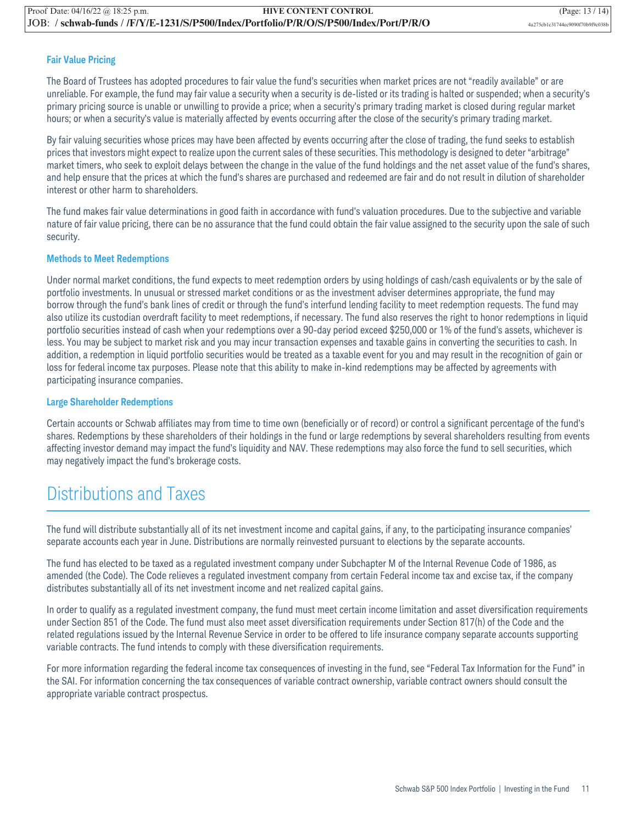#### **Fair Value Pricing**

The Board of Trustees has adopted procedures to fair value the fund's securities when market prices are not "readily available" or are unreliable. For example, the fund may fair value a security when a security is de-listed or its trading is halted or suspended; when a security's primary pricing source is unable or unwilling to provide a price; when a security's primary trading market is closed during regular market hours; or when a security's value is materially affected by events occurring after the close of the security's primary trading market.

By fair valuing securities whose prices may have been affected by events occurring after the close of trading, the fund seeks to establish prices that investors might expect to realize upon the current sales of these securities. This methodology is designed to deter "arbitrage" market timers, who seek to exploit delays between the change in the value of the fund holdings and the net asset value of the fund's shares, and help ensure that the prices at which the fund's shares are purchased and redeemed are fair and do not result in dilution of shareholder interest or other harm to shareholders.

The fund makes fair value determinations in good faith in accordance with fund's valuation procedures. Due to the subjective and variable nature of fair value pricing, there can be no assurance that the fund could obtain the fair value assigned to the security upon the sale of such security.

#### **Methods to Meet Redemptions**

Under normal market conditions, the fund expects to meet redemption orders by using holdings of cash/cash equivalents or by the sale of portfolio investments. In unusual or stressed market conditions or as the investment adviser determines appropriate, the fund may borrow through the fund's bank lines of credit or through the fund's interfund lending facility to meet redemption requests. The fund may also utilize its custodian overdraft facility to meet redemptions, if necessary. The fund also reserves the right to honor redemptions in liquid portfolio securities instead of cash when your redemptions over a 90-day period exceed \$250,000 or 1% of the fund's assets, whichever is less. You may be subject to market risk and you may incur transaction expenses and taxable gains in converting the securities to cash. In addition, a redemption in liquid portfolio securities would be treated as a taxable event for you and may result in the recognition of gain or loss for federal income tax purposes. Please note that this ability to make in-kind redemptions may be affected by agreements with participating insurance companies.

#### **Large Shareholder Redemptions**

Certain accounts or Schwab affiliates may from time to time own (beneficially or of record) or control a significant percentage of the fund's shares. Redemptions by these shareholders of their holdings in the fund or large redemptions by several shareholders resulting from events affecting investor demand may impact the fund's liquidity and NAV. These redemptions may also force the fund to sell securities, which may negatively impact the fund's brokerage costs.

### Distributions and Taxes

The fund will distribute substantially all of its net investment income and capital gains, if any, to the participating insurance companies' separate accounts each year in June. Distributions are normally reinvested pursuant to elections by the separate accounts.

The fund has elected to be taxed as a regulated investment company under Subchapter M of the Internal Revenue Code of 1986, as amended (the Code). The Code relieves a regulated investment company from certain Federal income tax and excise tax, if the company distributes substantially all of its net investment income and net realized capital gains.

In order to qualify as a regulated investment company, the fund must meet certain income limitation and asset diversification requirements under Section 851 of the Code. The fund must also meet asset diversification requirements under Section 817(h) of the Code and the related regulations issued by the Internal Revenue Service in order to be offered to life insurance company separate accounts supporting variable contracts. The fund intends to comply with these diversification requirements.

For more information regarding the federal income tax consequences of investing in the fund, see "Federal Tax Information for the Fund" in the SAI. For information concerning the tax consequences of variable contract ownership, variable contract owners should consult the appropriate variable contract prospectus.